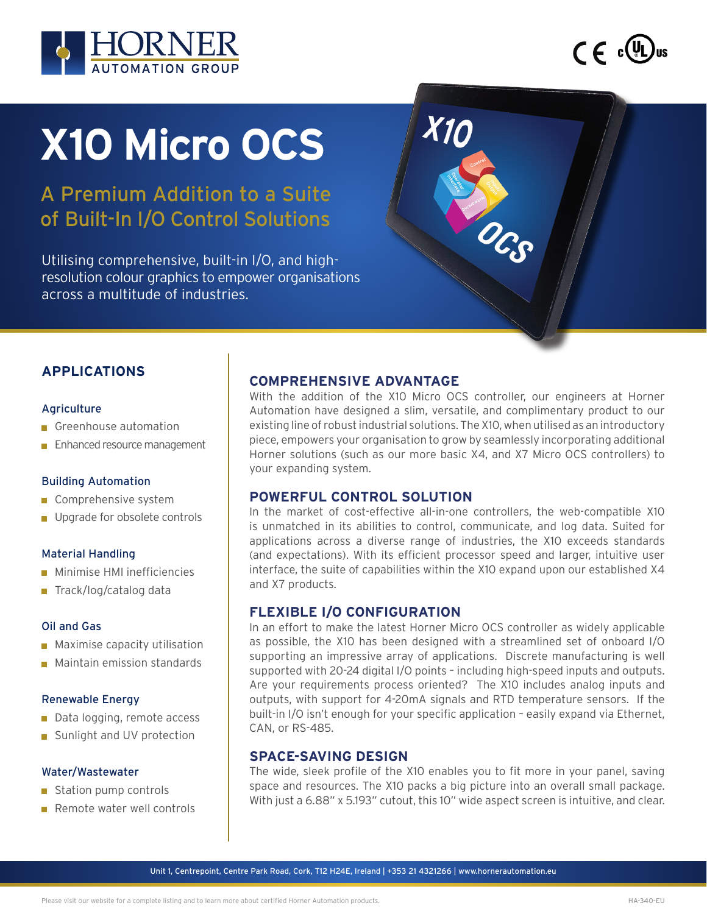



# **X10 Micro OCS**

A Premium Addition to a Suite of Built-In I/O Control Solutions

Utilising comprehensive, built-in I/O, and highresolution colour graphics to empower organisations across a multitude of industries.

# **APPLICATIONS**

#### **Agriculture**

- Greenhouse automation
- **Enhanced resource management**

#### Building Automation

- Comprehensive system
- **Upgrade for obsolete controls**

#### Material Handling

- **Minimise HMI inefficiencies**
- Track/log/catalog data

#### Oil and Gas

- **Maximise capacity utilisation**
- **Maintain emission standards**

#### Renewable Energy

- Data logging, remote access
- Sunlight and UV protection

#### Water/Wastewater

- Station pump controls
- Remote water well controls

# **COMPREHENSIVE ADVANTAGE**

With the addition of the X10 Micro OCS controller, our engineers at Horner Automation have designed a slim, versatile, and complimentary product to our existing line of robust industrial solutions. The X10, when utilised as an introductory piece, empowers your organisation to grow by seamlessly incorporating additional Horner solutions (such as our more basic X4, and X7 Micro OCS controllers) to your expanding system.

**X10** 

# **POWERFUL CONTROL SOLUTION**

In the market of cost-effective all-in-one controllers, the web-compatible X10 is unmatched in its abilities to control, communicate, and log data. Suited for applications across a diverse range of industries, the X10 exceeds standards (and expectations). With its efficient processor speed and larger, intuitive user interface, the suite of capabilities within the X10 expand upon our established X4 and X7 products.

# **FLEXIBLE I/O CONFIGURATION**

In an effort to make the latest Horner Micro OCS controller as widely applicable as possible, the X10 has been designed with a streamlined set of onboard I/O supporting an impressive array of applications. Discrete manufacturing is well supported with 20-24 digital I/O points – including high-speed inputs and outputs. Are your requirements process oriented? The X10 includes analog inputs and outputs, with support for 4-20mA signals and RTD temperature sensors. If the built-in I/O isn't enough for your specific application – easily expand via Ethernet, CAN, or RS-485.

# **SPACE-SAVING DESIGN**

The wide, sleek profile of the X10 enables you to fit more in your panel, saving space and resources. The X10 packs a big picture into an overall small package. With just a 6.88" x 5.193" cutout, this 10" wide aspect screen is intuitive, and clear.